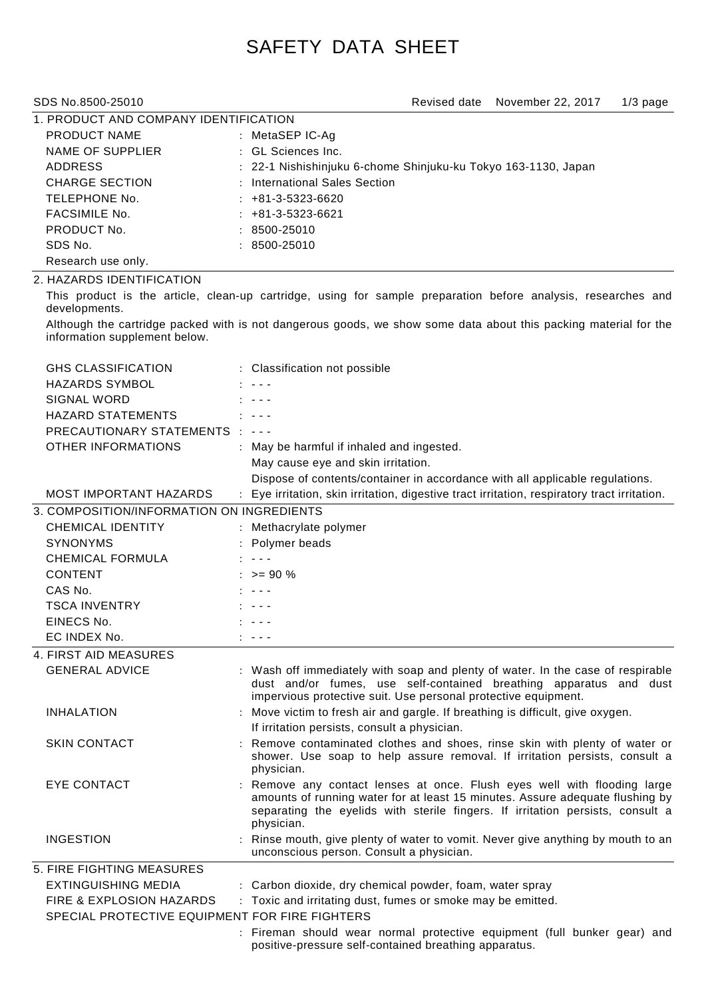# SAFETY DATA SHEET

| 1. PRODUCT AND COMPANY IDENTIFICATION |  |                                                                |  |  |  |
|---------------------------------------|--|----------------------------------------------------------------|--|--|--|
| PRODUCT NAME                          |  | : MetaSEP IC-Aq                                                |  |  |  |
| NAME OF SUPPLIER                      |  | : GL Sciences Inc.                                             |  |  |  |
| <b>ADDRESS</b>                        |  | : 22-1 Nishishinjuku 6-chome Shinjuku-ku Tokyo 163-1130, Japan |  |  |  |
| CHARGE SECTION                        |  | : International Sales Section                                  |  |  |  |
| TELEPHONE No.                         |  | $: +81-3-5323-6620$                                            |  |  |  |
| <b>FACSIMILE No.</b>                  |  | $: +81-3-5323-6621$                                            |  |  |  |
| PRODUCT No.                           |  | $: 8500 - 25010$                                               |  |  |  |
| SDS No.                               |  | $: 8500 - 25010$                                               |  |  |  |
| Research use only.                    |  |                                                                |  |  |  |

# 2. HAZARDS IDENTIFICATION

This product is the article, clean-up cartridge, using for sample preparation before analysis, researches and developments.

Although the cartridge packed with is not dangerous goods, we show some data about this packing material for the information supplement below.

| <b>GHS CLASSIFICATION</b>                      | : Classification not possible                                                                                                                                                                                                                             |
|------------------------------------------------|-----------------------------------------------------------------------------------------------------------------------------------------------------------------------------------------------------------------------------------------------------------|
| <b>HAZARDS SYMBOL</b>                          |                                                                                                                                                                                                                                                           |
| SIGNAL WORD                                    |                                                                                                                                                                                                                                                           |
| <b>HAZARD STATEMENTS</b>                       | $\frac{1}{2}$                                                                                                                                                                                                                                             |
| PRECAUTIONARY STATEMENTS : ---                 |                                                                                                                                                                                                                                                           |
| <b>OTHER INFORMATIONS</b>                      | : May be harmful if inhaled and ingested.                                                                                                                                                                                                                 |
|                                                | May cause eye and skin irritation.                                                                                                                                                                                                                        |
|                                                | Dispose of contents/container in accordance with all applicable regulations.                                                                                                                                                                              |
| <b>MOST IMPORTANT HAZARDS</b>                  | : Eye irritation, skin irritation, digestive tract irritation, respiratory tract irritation.                                                                                                                                                              |
| 3. COMPOSITION/INFORMATION ON INGREDIENTS      |                                                                                                                                                                                                                                                           |
| <b>CHEMICAL IDENTITY</b>                       | : Methacrylate polymer                                                                                                                                                                                                                                    |
| <b>SYNONYMS</b>                                | : Polymer beads                                                                                                                                                                                                                                           |
| <b>CHEMICAL FORMULA</b>                        | $\cdot$ $  -$                                                                                                                                                                                                                                             |
| <b>CONTENT</b>                                 | $: z = 90 \%$                                                                                                                                                                                                                                             |
| CAS No.                                        | $\sim$ $\sim$ $\sim$                                                                                                                                                                                                                                      |
| <b>TSCA INVENTRY</b>                           | $\sim$ $ -$                                                                                                                                                                                                                                               |
| EINECS No.                                     | $\sim$ $ -$                                                                                                                                                                                                                                               |
| EC INDEX No.                                   | د د د ر                                                                                                                                                                                                                                                   |
| 4. FIRST AID MEASURES                          |                                                                                                                                                                                                                                                           |
| <b>GENERAL ADVICE</b>                          | : Wash off immediately with soap and plenty of water. In the case of respirable<br>dust and/or fumes, use self-contained breathing apparatus and dust<br>impervious protective suit. Use personal protective equipment.                                   |
| <b>INHALATION</b>                              | : Move victim to fresh air and gargle. If breathing is difficult, give oxygen.                                                                                                                                                                            |
|                                                | If irritation persists, consult a physician.                                                                                                                                                                                                              |
| <b>SKIN CONTACT</b>                            | : Remove contaminated clothes and shoes, rinse skin with plenty of water or<br>shower. Use soap to help assure removal. If irritation persists, consult a<br>physician.                                                                                   |
| <b>EYE CONTACT</b>                             | : Remove any contact lenses at once. Flush eyes well with flooding large<br>amounts of running water for at least 15 minutes. Assure adequate flushing by<br>separating the eyelids with sterile fingers. If irritation persists, consult a<br>physician. |
| <b>INGESTION</b>                               | : Rinse mouth, give plenty of water to vomit. Never give anything by mouth to an<br>unconscious person. Consult a physician.                                                                                                                              |
| 5. FIRE FIGHTING MEASURES                      |                                                                                                                                                                                                                                                           |
| EXTINGUISHING MEDIA                            | : Carbon dioxide, dry chemical powder, foam, water spray                                                                                                                                                                                                  |
| FIRE & EXPLOSION HAZARDS                       | : Toxic and irritating dust, fumes or smoke may be emitted.                                                                                                                                                                                               |
| SPECIAL PROTECTIVE EQUIPMENT FOR FIRE FIGHTERS |                                                                                                                                                                                                                                                           |
|                                                | : Fireman should wear normal protective equipment (full bunker gear) and<br>positive-pressure self-contained breathing apparatus.                                                                                                                         |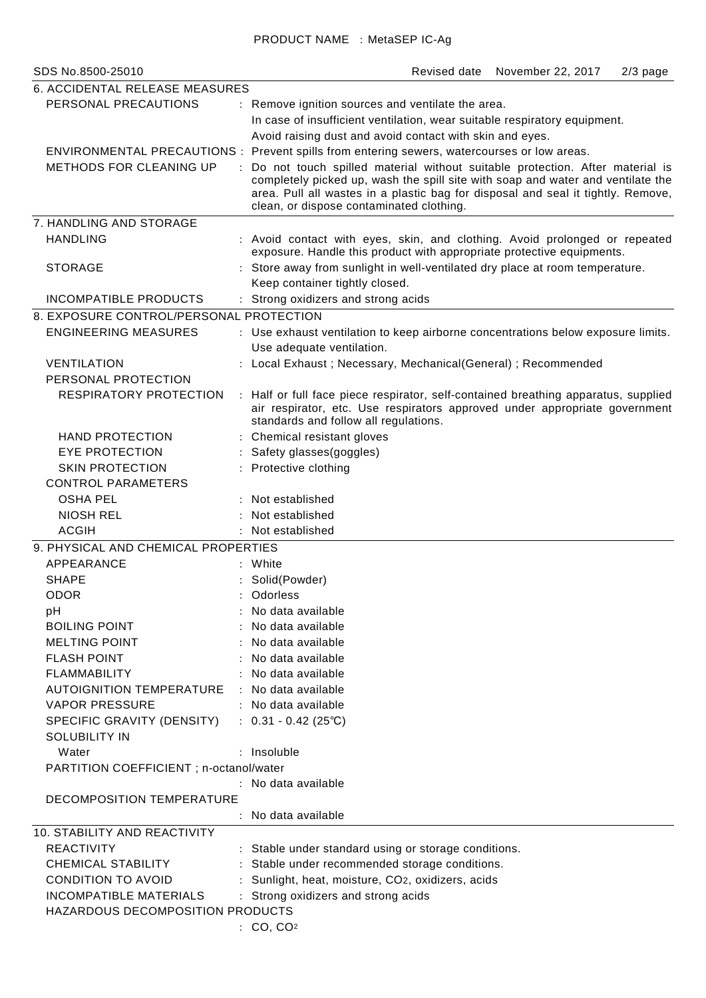| SDS No.8500-25010                                  | November 22, 2017<br>$2/3$ page<br>Revised date                                                                                                                                                                                                                                                 |  |  |  |  |
|----------------------------------------------------|-------------------------------------------------------------------------------------------------------------------------------------------------------------------------------------------------------------------------------------------------------------------------------------------------|--|--|--|--|
| 6. ACCIDENTAL RELEASE MEASURES                     |                                                                                                                                                                                                                                                                                                 |  |  |  |  |
| PERSONAL PRECAUTIONS                               | : Remove ignition sources and ventilate the area.<br>In case of insufficient ventilation, wear suitable respiratory equipment.<br>Avoid raising dust and avoid contact with skin and eyes.                                                                                                      |  |  |  |  |
|                                                    | ENVIRONMENTAL PRECAUTIONS : Prevent spills from entering sewers, watercourses or low areas.                                                                                                                                                                                                     |  |  |  |  |
| <b>METHODS FOR CLEANING UP</b>                     | Do not touch spilled material without suitable protection. After material is<br>completely picked up, wash the spill site with soap and water and ventilate the<br>area. Pull all wastes in a plastic bag for disposal and seal it tightly. Remove,<br>clean, or dispose contaminated clothing. |  |  |  |  |
| 7. HANDLING AND STORAGE                            |                                                                                                                                                                                                                                                                                                 |  |  |  |  |
| <b>HANDLING</b>                                    | : Avoid contact with eyes, skin, and clothing. Avoid prolonged or repeated<br>exposure. Handle this product with appropriate protective equipments.                                                                                                                                             |  |  |  |  |
| <b>STORAGE</b>                                     | : Store away from sunlight in well-ventilated dry place at room temperature.<br>Keep container tightly closed.                                                                                                                                                                                  |  |  |  |  |
| <b>INCOMPATIBLE PRODUCTS</b>                       | Strong oxidizers and strong acids                                                                                                                                                                                                                                                               |  |  |  |  |
| 8. EXPOSURE CONTROL/PERSONAL PROTECTION            |                                                                                                                                                                                                                                                                                                 |  |  |  |  |
| <b>ENGINEERING MEASURES</b>                        | : Use exhaust ventilation to keep airborne concentrations below exposure limits.                                                                                                                                                                                                                |  |  |  |  |
|                                                    | Use adequate ventilation.                                                                                                                                                                                                                                                                       |  |  |  |  |
| <b>VENTILATION</b>                                 | Local Exhaust; Necessary, Mechanical(General); Recommended                                                                                                                                                                                                                                      |  |  |  |  |
| PERSONAL PROTECTION                                |                                                                                                                                                                                                                                                                                                 |  |  |  |  |
| <b>RESPIRATORY PROTECTION</b>                      | : Half or full face piece respirator, self-contained breathing apparatus, supplied<br>air respirator, etc. Use respirators approved under appropriate government<br>standards and follow all regulations.                                                                                       |  |  |  |  |
| <b>HAND PROTECTION</b>                             | : Chemical resistant gloves                                                                                                                                                                                                                                                                     |  |  |  |  |
| <b>EYE PROTECTION</b>                              | Safety glasses(goggles)                                                                                                                                                                                                                                                                         |  |  |  |  |
| <b>SKIN PROTECTION</b>                             | : Protective clothing                                                                                                                                                                                                                                                                           |  |  |  |  |
| <b>CONTROL PARAMETERS</b>                          |                                                                                                                                                                                                                                                                                                 |  |  |  |  |
| <b>OSHA PEL</b>                                    | : Not established                                                                                                                                                                                                                                                                               |  |  |  |  |
| <b>NIOSH REL</b>                                   | Not established                                                                                                                                                                                                                                                                                 |  |  |  |  |
| <b>ACGIH</b>                                       | Not established                                                                                                                                                                                                                                                                                 |  |  |  |  |
| 9. PHYSICAL AND CHEMICAL PROPERTIES                |                                                                                                                                                                                                                                                                                                 |  |  |  |  |
| APPEARANCE                                         | : White                                                                                                                                                                                                                                                                                         |  |  |  |  |
| <b>SHAPE</b>                                       | Solid(Powder)                                                                                                                                                                                                                                                                                   |  |  |  |  |
| ODOR                                               | Odorless                                                                                                                                                                                                                                                                                        |  |  |  |  |
| рH                                                 | No data available                                                                                                                                                                                                                                                                               |  |  |  |  |
| <b>BOILING POINT</b>                               | No data available                                                                                                                                                                                                                                                                               |  |  |  |  |
| <b>MELTING POINT</b>                               | No data available                                                                                                                                                                                                                                                                               |  |  |  |  |
| <b>FLASH POINT</b>                                 | No data available                                                                                                                                                                                                                                                                               |  |  |  |  |
| <b>FLAMMABILITY</b>                                | : No data available                                                                                                                                                                                                                                                                             |  |  |  |  |
| <b>AUTOIGNITION TEMPERATURE</b>                    | : No data available                                                                                                                                                                                                                                                                             |  |  |  |  |
| <b>VAPOR PRESSURE</b>                              | : No data available                                                                                                                                                                                                                                                                             |  |  |  |  |
| SPECIFIC GRAVITY (DENSITY)<br><b>SOLUBILITY IN</b> | : $0.31 - 0.42$ (25°C)                                                                                                                                                                                                                                                                          |  |  |  |  |
| Water                                              | : Insoluble                                                                                                                                                                                                                                                                                     |  |  |  |  |
| PARTITION COEFFICIENT; n-octanol/water             |                                                                                                                                                                                                                                                                                                 |  |  |  |  |
|                                                    | : No data available                                                                                                                                                                                                                                                                             |  |  |  |  |
| DECOMPOSITION TEMPERATURE                          |                                                                                                                                                                                                                                                                                                 |  |  |  |  |
|                                                    | : No data available                                                                                                                                                                                                                                                                             |  |  |  |  |
| 10. STABILITY AND REACTIVITY                       |                                                                                                                                                                                                                                                                                                 |  |  |  |  |
| <b>REACTIVITY</b>                                  | : Stable under standard using or storage conditions.                                                                                                                                                                                                                                            |  |  |  |  |
| <b>CHEMICAL STABILITY</b>                          | Stable under recommended storage conditions.                                                                                                                                                                                                                                                    |  |  |  |  |
| <b>CONDITION TO AVOID</b>                          | Sunlight, heat, moisture, CO2, oxidizers, acids                                                                                                                                                                                                                                                 |  |  |  |  |
| <b>INCOMPATIBLE MATERIALS</b>                      | : Strong oxidizers and strong acids                                                                                                                                                                                                                                                             |  |  |  |  |
| HAZARDOUS DECOMPOSITION PRODUCTS                   |                                                                                                                                                                                                                                                                                                 |  |  |  |  |
|                                                    | : CO, CO <sub>2</sub>                                                                                                                                                                                                                                                                           |  |  |  |  |